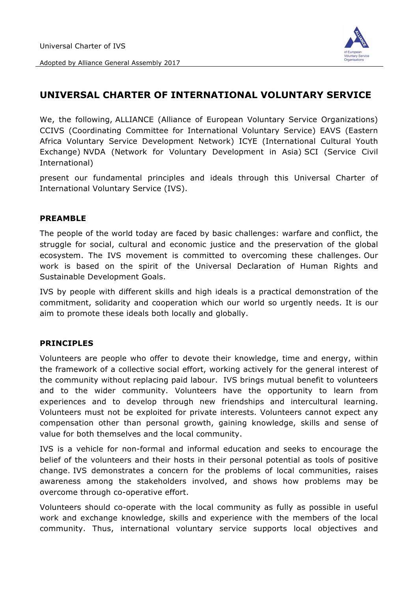

Adopted by Alliance General Assembly 2017

## **UNIVERSAL CHARTER OF INTERNATIONAL VOLUNTARY SERVICE**

We, the following, ALLIANCE (Alliance of European Voluntary Service Organizations) CCIVS (Coordinating Committee for International Voluntary Service) EAVS (Eastern Africa Voluntary Service Development Network) ICYE (International Cultural Youth Exchange) NVDA (Network for Voluntary Development in Asia) SCI (Service Civil International)

present our fundamental principles and ideals through this Universal Charter of International Voluntary Service (IVS).

## **PREAMBLE**

The people of the world today are faced by basic challenges: warfare and conflict, the struggle for social, cultural and economic justice and the preservation of the global ecosystem. The IVS movement is committed to overcoming these challenges. Our work is based on the spirit of the Universal Declaration of Human Rights and Sustainable Development Goals.

IVS by people with different skills and high ideals is a practical demonstration of the commitment, solidarity and cooperation which our world so urgently needs. It is our aim to promote these ideals both locally and globally.

## **PRINCIPLES**

Volunteers are people who offer to devote their knowledge, time and energy, within the framework of a collective social effort, working actively for the general interest of the community without replacing paid labour. IVS brings mutual benefit to volunteers and to the wider community. Volunteers have the opportunity to learn from experiences and to develop through new friendships and intercultural learning. Volunteers must not be exploited for private interests. Volunteers cannot expect any compensation other than personal growth, gaining knowledge, skills and sense of value for both themselves and the local community.

IVS is a vehicle for non-formal and informal education and seeks to encourage the belief of the volunteers and their hosts in their personal potential as tools of positive change. IVS demonstrates a concern for the problems of local communities, raises awareness among the stakeholders involved, and shows how problems may be overcome through co-operative effort.

Volunteers should co-operate with the local community as fully as possible in useful work and exchange knowledge, skills and experience with the members of the local community. Thus, international voluntary service supports local objectives and